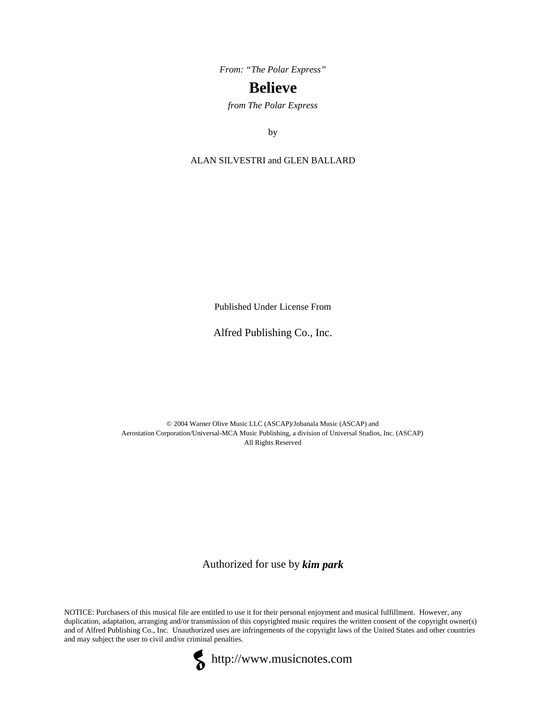*From: "The Polar Express"*

## **Believe**

*from The Polar Express*

by

ALAN SILVESTRI and GLEN BALLARD

Published Under License From

## Alfred Publishing Co., Inc.

© 2004 Warner Olive Music LLC (ASCAP)/Jobanala Music (ASCAP) and Aerostation Corporation/Universal-MCA Music Publishing, a division of Universal Studios, Inc. (ASCAP) All Rights Reserved

Authorized for use by *kim park*

NOTICE: Purchasers of this musical file are entitled to use it for their personal enjoyment and musical fulfillment. However, any duplication, adaptation, arranging and/or transmission of this copyrighted music requires the written consent of the copyright owner(s) and of Alfred Publishing Co., Inc. Unauthorized uses are infringements of the copyright laws of the United States and other countries and may subject the user to civil and/or criminal penalties.



http://www.musicnotes.com